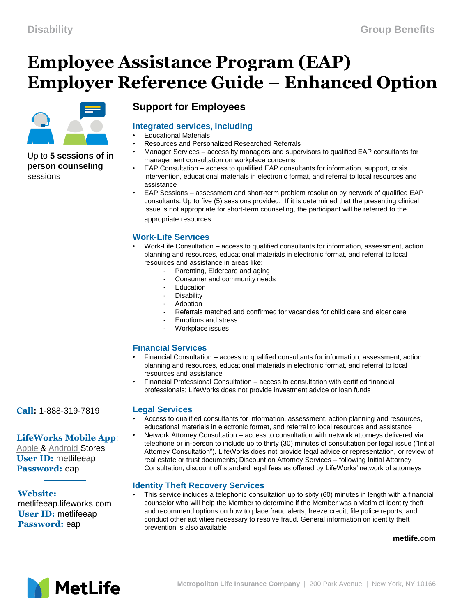# **Employee Assistance Program (EAP) Employer Reference Guide – Enhanced Option**



#### Up to **5 sessions of in person counseling**  sessions

# **Support for Employees**

# **Integrated services, including**

- Educational Materials
- Resources and Personalized Researched Referrals
- Manager Services access by managers and supervisors to qualified EAP consultants for management consultation on workplace concerns
- EAP Consultation access to qualified EAP consultants for information, support, crisis intervention, educational materials in electronic format, and referral to local resources and assistance
- EAP Sessions assessment and short-term problem resolution by network of qualified EAP consultants. Up to five (5) sessions provided. If it is determined that the presenting clinical issue is not appropriate for short-term counseling, the participant will be referred to the appropriate resources

# **Work-Life Services**

- Work-Life Consultation access to qualified consultants for information, assessment, action planning and resources, educational materials in electronic format, and referral to local resources and assistance in areas like:
	- Parenting, Eldercare and aging
		- Consumer and community needs
	- **Education**
	- **Disability**
	- **Adoption**
	- Referrals matched and confirmed for vacancies for child care and elder care
	- Emotions and stress
	- Workplace issues

## **Financial Services**

- Financial Consultation access to qualified consultants for information, assessment, action planning and resources, educational materials in electronic format, and referral to local resources and assistance
- Financial Professional Consultation access to consultation with certified financial professionals; LifeWorks does not provide investment advice or loan funds

#### **Legal Services**

- Access to qualified consultants for information, assessment, action planning and resources, educational materials in electronic format, and referral to local resources and assistance • Network Attorney Consultation – access to consultation with network attorneys delivered via
- telephone or in-person to include up to thirty (30) minutes of consultation per legal issue ("Initial Attorney Consultation"). LifeWorks does not provide legal advice or representation, or review of real estate or trust documents; Discount on Attorney Services – following Initial Attorney Consultation, discount off standard legal fees as offered by LifeWorks' network of attorneys

## **Identity Theft Recovery Services**

• This service includes a telephonic consultation up to sixty (60) minutes in length with a financial counselor who will help the Member to determine if the Member was a victim of identity theft and recommend options on how to place fraud alerts, freeze credit, file police reports, and conduct other activities necessary to resolve fraud. General information on identity theft prevention is also available

#### **metlife.com**



**Call:** 1-888-319-7819

# **LifeWorks Mobile App**:

[Apple &](mailto:https://itunes.apple.com/us/app/lifeworks/id662088737?mt=8) [Android S](mailto:https://play.google.com/store/apps/details?id=com.wam.android&hl=en)tores **User ID:** metlifeeap **Password:** eap

# **Website:**

metlifeeap.lifeworks.com **User ID:** metlifeeap **Password:** eap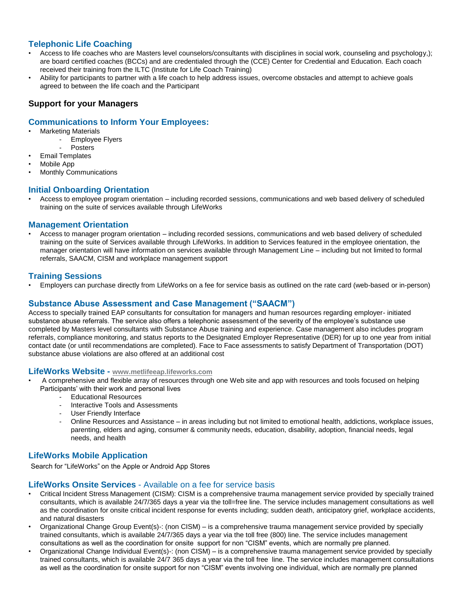#### **Telephonic Life Coaching**

- Access to life coaches who are Masters level counselors/consultants with disciplines in social work, counseling and psychology,); are board certified coaches (BCCs) and are credentialed through the (CCE) Center for Credential and Education. Each coach received their training from the ILTC (Institute for Life Coach Training)
- Ability for participants to partner with a life coach to help address issues, overcome obstacles and attempt to achieve goals agreed to between the life coach and the Participant

#### **Support for your Managers**

#### **Communications to Inform Your Employees:**

- Marketing Materials
	- Employee Flyers
	- **Posters**
- Email Templates
- Mobile App
- Monthly Communications

#### **Initial Onboarding Orientation**

• Access to employee program orientation – including recorded sessions, communications and web based delivery of scheduled training on the suite of services available through LifeWorks

#### **Management Orientation**

• Access to manager program orientation – including recorded sessions, communications and web based delivery of scheduled training on the suite of Services available through LifeWorks. In addition to Services featured in the employee orientation, the manager orientation will have information on services available through Management Line – including but not limited to formal referrals, SAACM, CISM and workplace management support

#### **Training Sessions**

• Employers can purchase directly from LifeWorks on a fee for service basis as outlined on the rate card (web-based or in-person)

#### **Substance Abuse Assessment and Case Management ("SAACM")**

Access to specially trained EAP consultants for consultation for managers and human resources regarding employer- initiated substance abuse referrals. The service also offers a telephonic assessment of the severity of the employee's substance use completed by Masters level consultants with Substance Abuse training and experience. Case management also includes program referrals, compliance monitoring, and status reports to the Designated Employer Representative (DER) for up to one year from initial contact date (or until recommendations are completed). Face to Face assessments to satisfy Department of Transportation (DOT) substance abuse violations are also offered at an additional cost

#### **LifeWorks Website - [www.metlifeeap.lifeworks.com](http://www.metlifeeap.lifeworks.com/)**

- A comprehensive and flexible array of resources through one Web site and app with resources and tools focused on helping Participants' with their work and personal lives
	- Educational Resources
	- Interactive Tools and Assessments
	- User Friendly Interface
	- Online Resources and Assistance in areas including but not limited to emotional health, addictions, workplace issues, parenting, elders and aging, consumer & community needs, education, disability, adoption, financial needs, legal needs, and health

#### **LifeWorks Mobile Application**

Search for "LifeWorks" on the Apple or Android App Stores

#### **LifeWorks Onsite Services** - Available on a fee for service basis

- Critical Incident Stress Management (CISM): CISM is a comprehensive trauma management service provided by specially trained consultants, which is available 24/7/365 days a year via the toll=free line. The service includes management consultations as well as the coordination for onsite critical incident response for events including; sudden death, anticipatory grief, workplace accidents, and natural disasters
- Organizational Change Group Event(s)-: (non CISM) is a comprehensive trauma management service provided by specially trained consultants, which is available 24/7/365 days a year via the toll free (800) line. The service includes management consultations as well as the coordination for onsite support for non "CISM" events, which are normally pre planned.
- Organizational Change Individual Event(s)-: (non CISM) is a comprehensive trauma management service provided by specially trained consultants, which is available 24/7 365 days a year via the toll free line. The service includes management consultations as well as the coordination for onsite support for non "CISM" events involving one individual, which are normally pre planned